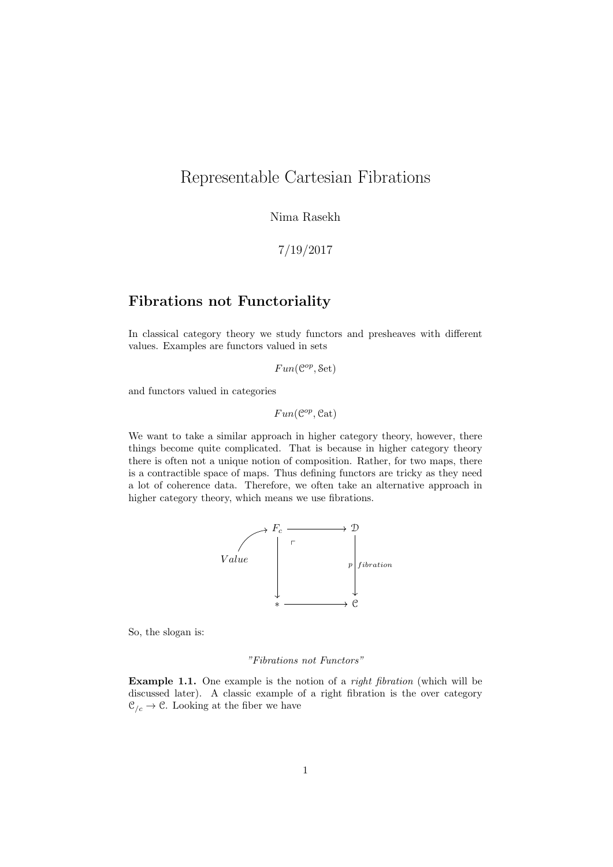# Representable Cartesian Fibrations

Nima Rasekh

7/19/2017

### Fibrations not Functoriality

In classical category theory we study functors and presheaves with different values. Examples are functors valued in sets

 $Fun(\mathcal{C}^{op}, \mathcal{S}\mathrm{et})$ 

and functors valued in categories

 $Fun(\mathcal{C}^{op}, \mathcal{C}at)$ 

We want to take a similar approach in higher category theory, however, there things become quite complicated. That is because in higher category theory there is often not a unique notion of composition. Rather, for two maps, there is a contractible space of maps. Thus defining functors are tricky as they need a lot of coherence data. Therefore, we often take an alternative approach in higher category theory, which means we use fibrations.



So, the slogan is:

#### "Fibrations not Functors"

Example 1.1. One example is the notion of a *right fibration* (which will be discussed later). A classic example of a right fibration is the over category  $\mathcal{C}_{/c} \to \mathcal{C}$ . Looking at the fiber we have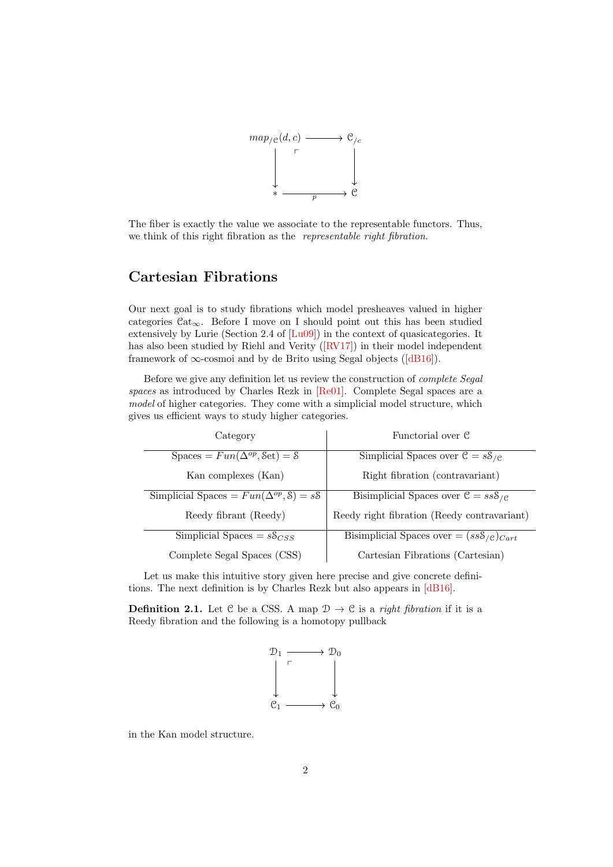

The fiber is exactly the value we associate to the representable functors. Thus, we think of this right fibration as the representable right fibration.

#### Cartesian Fibrations

Our next goal is to study fibrations which model presheaves valued in higher categories  $\mathcal{C}at_{\infty}$ . Before I move on I should point out this has been studied extensively by Lurie (Section 2.4 of [\[Lu09\]](#page-5-0)) in the context of quasicategories. It has also been studied by Riehl and Verity ([\[RV17\]](#page-5-1)) in their model independent framework of  $\infty$ -cosmoi and by de Brito using Segal objects ([\[dB16\]](#page-5-2)).

Before we give any definition let us review the construction of complete Segal spaces as introduced by Charles Rezk in [\[Re01\]](#page-5-3). Complete Segal spaces are a model of higher categories. They come with a simplicial model structure, which gives us efficient ways to study higher categories.

| Category                                                           | Functorial over $C$                                                          |
|--------------------------------------------------------------------|------------------------------------------------------------------------------|
| $Spaces = Fun(\Delta^{op}, Set) = S$                               | Simplicial Spaces over $\mathcal{C} = s\mathcal{S}_{\text{/}\mathcal{C}}$    |
| Kan complexes (Kan)                                                | Right fibration (contravariant)                                              |
| Simplicial Spaces = $Fun(\Delta^{op}, \mathcal{S}) = s\mathcal{S}$ | Bisimplicial Spaces over $\mathcal{C} = ss\mathcal{S}_{\text{/}\mathcal{C}}$ |
| Reedy fibrant (Reedy)                                              | Reedy right fibration (Reedy contravariant)                                  |
| Simplicial Spaces = $s\delta_{CSS}$                                | Bisimplicial Spaces over = $(ss\delta/e)_{Cart}$                             |
| Complete Segal Spaces (CSS)                                        | Cartesian Fibrations (Cartesian)                                             |

Let us make this intuitive story given here precise and give concrete definitions. The next definition is by Charles Rezk but also appears in [\[dB16\]](#page-5-2).

**Definition 2.1.** Let C be a CSS. A map  $\mathcal{D} \to \mathcal{C}$  is a right fibration if it is a Reedy fibration and the following is a homotopy pullback



in the Kan model structure.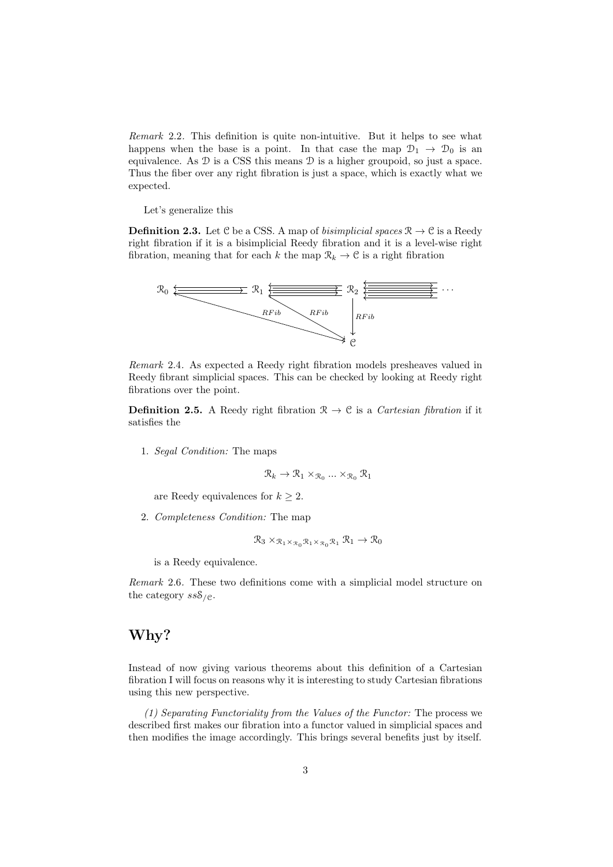Remark 2.2. This definition is quite non-intuitive. But it helps to see what happens when the base is a point. In that case the map  $\mathcal{D}_1 \rightarrow \mathcal{D}_0$  is an equivalence. As  $\mathcal D$  is a CSS this means  $\mathcal D$  is a higher groupoid, so just a space. Thus the fiber over any right fibration is just a space, which is exactly what we expected.

Let's generalize this

**Definition 2.3.** Let C be a CSS. A map of *bisimplicial spaces*  $\mathcal{R} \to \mathcal{C}$  is a Reedy right fibration if it is a bisimplicial Reedy fibration and it is a level-wise right fibration, meaning that for each k the map  $\mathcal{R}_k \to \mathcal{C}$  is a right fibration



Remark 2.4. As expected a Reedy right fibration models presheaves valued in Reedy fibrant simplicial spaces. This can be checked by looking at Reedy right fibrations over the point.

**Definition 2.5.** A Reedy right fibration  $\mathcal{R} \to \mathcal{C}$  is a *Cartesian fibration* if it satisfies the

1. Segal Condition: The maps

$$
\mathcal{R}_k \to \mathcal{R}_1 \times_{\mathcal{R}_0} \dots \times_{\mathcal{R}_0} \mathcal{R}_1
$$

are Reedy equivalences for  $k \geq 2$ .

2. Completeness Condition: The map

$$
\mathcal{R}_3 \times_{\mathcal{R}_1 \times_{\mathcal{R}_0} \mathcal{R}_1 \times_{\mathcal{R}_0} \mathcal{R}_1} \mathcal{R}_1 \to \mathcal{R}_0
$$

is a Reedy equivalence.

Remark 2.6. These two definitions come with a simplicial model structure on the category  $ss\delta_{\ell}$ .

#### Why?

Instead of now giving various theorems about this definition of a Cartesian fibration I will focus on reasons why it is interesting to study Cartesian fibrations using this new perspective.

(1) Separating Functoriality from the Values of the Functor: The process we described first makes our fibration into a functor valued in simplicial spaces and then modifies the image accordingly. This brings several benefits just by itself.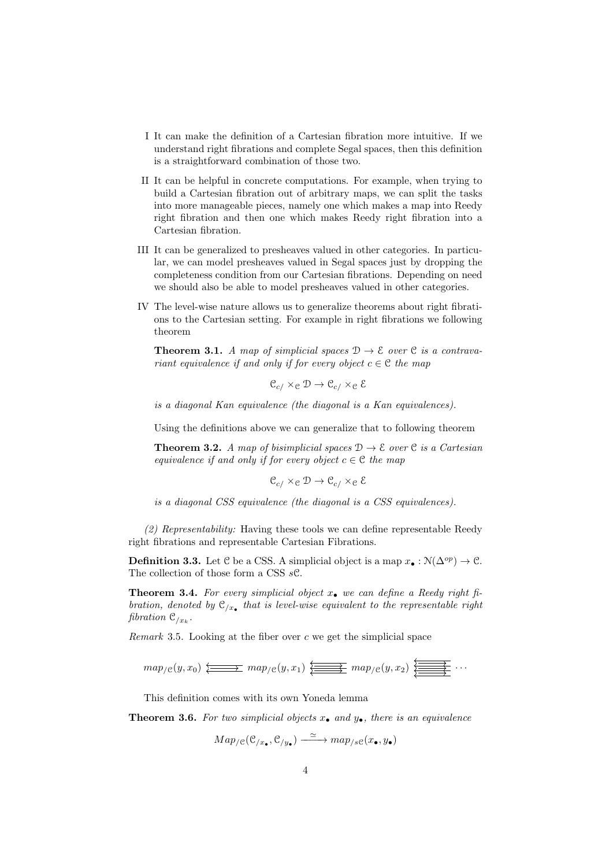- I It can make the definition of a Cartesian fibration more intuitive. If we understand right fibrations and complete Segal spaces, then this definition is a straightforward combination of those two.
- II It can be helpful in concrete computations. For example, when trying to build a Cartesian fibration out of arbitrary maps, we can split the tasks into more manageable pieces, namely one which makes a map into Reedy right fibration and then one which makes Reedy right fibration into a Cartesian fibration.
- III It can be generalized to presheaves valued in other categories. In particular, we can model presheaves valued in Segal spaces just by dropping the completeness condition from our Cartesian fibrations. Depending on need we should also be able to model presheaves valued in other categories.
- IV The level-wise nature allows us to generalize theorems about right fibrations to the Cartesian setting. For example in right fibrations we following theorem

**Theorem 3.1.** A map of simplicial spaces  $\mathcal{D} \to \mathcal{E}$  over  $\mathcal{C}$  is a contravariant equivalence if and only if for every object  $c \in \mathcal{C}$  the map

$$
\mathcal{C}_{c/} \times_{\mathcal{C}} \mathcal{D} \to \mathcal{C}_{c/} \times_{\mathcal{C}} \mathcal{E}
$$

is a diagonal Kan equivalence (the diagonal is a Kan equivalences).

Using the definitions above we can generalize that to following theorem

**Theorem 3.2.** A map of bisimplicial spaces  $\mathcal{D} \to \mathcal{E}$  over  $\mathcal{C}$  is a Cartesian equivalence if and only if for every object  $c \in \mathcal{C}$  the map

$$
\mathcal{C}_{c/}\times_{\mathcal{C}}\mathcal{D}\to\mathcal{C}_{c/}\times_{\mathcal{C}}\mathcal{E}
$$

is a diagonal CSS equivalence (the diagonal is a CSS equivalences).

(2) Representability: Having these tools we can define representable Reedy right fibrations and representable Cartesian Fibrations.

**Definition 3.3.** Let  $C$  be a CSS. A simplicial object is a map  $x_{\bullet}: \mathcal{N}(\Delta^{op}) \to \mathcal{C}$ . The collection of those form a CSS  $s$ C.

**Theorem 3.4.** For every simplicial object  $x_{\bullet}$  we can define a Reedy right fibration, denoted by  $\mathfrak{C}_{/x_{\bullet}}$  that is level-wise equivalent to the representable right fibration  $\mathfrak{C}_{/x_k}$ .

Remark 3.5. Looking at the fiber over  $c$  we get the simplicial space

$$
map_{/\mathcal{C}}(y,x_0) \Longleftrightarrow map_{/\mathcal{C}}(y,x_1) \Longleftrightarrow map_{/\mathcal{C}}(y,x_2) \Longleftrightarrow \cdots
$$

This definition comes with its own Yoneda lemma

**Theorem 3.6.** For two simplicial objects  $x_{\bullet}$  and  $y_{\bullet}$ , there is an equivalence

$$
Map_{/\mathcal{C}}(\mathcal{C}_{/x_{\bullet}}, \mathcal{C}_{/y_{\bullet}}) \xrightarrow{\simeq} map_{/s\mathcal{C}}(x_{\bullet}, y_{\bullet})
$$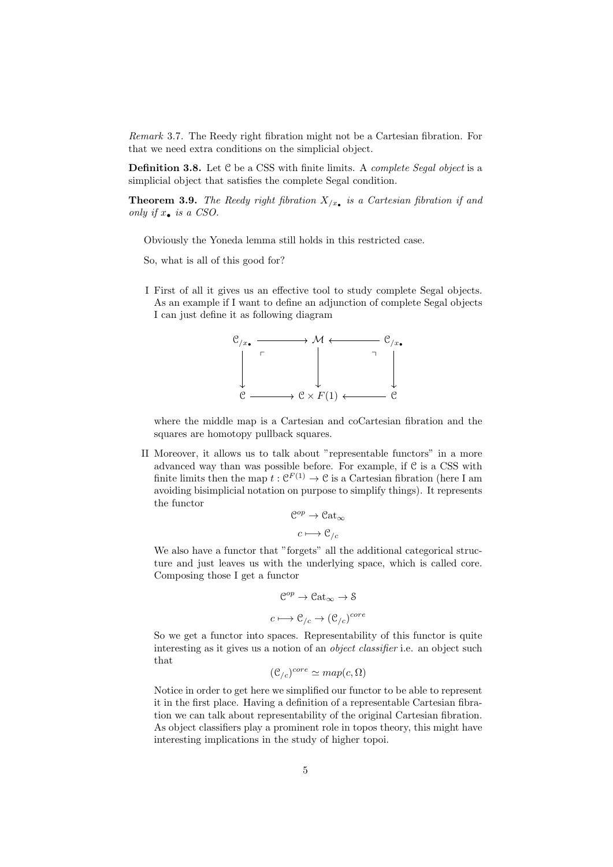Remark 3.7. The Reedy right fibration might not be a Cartesian fibration. For that we need extra conditions on the simplicial object.

**Definition 3.8.** Let  $C$  be a CSS with finite limits. A *complete Segal object* is a simplicial object that satisfies the complete Segal condition.

**Theorem 3.9.** The Reedy right fibration  $X_{/x_{\bullet}}$  is a Cartesian fibration if and only if  $x_{\bullet}$  is a CSO.

Obviously the Yoneda lemma still holds in this restricted case.

So, what is all of this good for?

I First of all it gives us an effective tool to study complete Segal objects. As an example if I want to define an adjunction of complete Segal objects I can just define it as following diagram



where the middle map is a Cartesian and coCartesian fibration and the squares are homotopy pullback squares.

II Moreover, it allows us to talk about "representable functors" in a more advanced way than was possible before. For example, if C is a CSS with finite limits then the map  $t: \mathcal{C}^{F(1)} \to \mathcal{C}$  is a Cartesian fibration (here I am avoiding bisimplicial notation on purpose to simplify things). It represents the functor

$$
\mathcal{C}^{op} \to \mathcal{C}at_{\infty}
$$

$$
c \longmapsto \mathcal{C}_{/c}
$$

We also have a functor that "forgets" all the additional categorical structure and just leaves us with the underlying space, which is called core. Composing those I get a functor

$$
\mathcal{C}^{op} \to \mathcal{C}at_{\infty} \to \mathcal{S}
$$

$$
c \longmapsto \mathcal{C}_{/c} \to (\mathcal{C}_{/c})^{core}
$$

So we get a functor into spaces. Representability of this functor is quite interesting as it gives us a notion of an object classifier i.e. an object such that

$$
(\mathcal{C}_{/c})^{core} \simeq map(c, \Omega)
$$

Notice in order to get here we simplified our functor to be able to represent it in the first place. Having a definition of a representable Cartesian fibration we can talk about representability of the original Cartesian fibration. As object classifiers play a prominent role in topos theory, this might have interesting implications in the study of higher topoi.